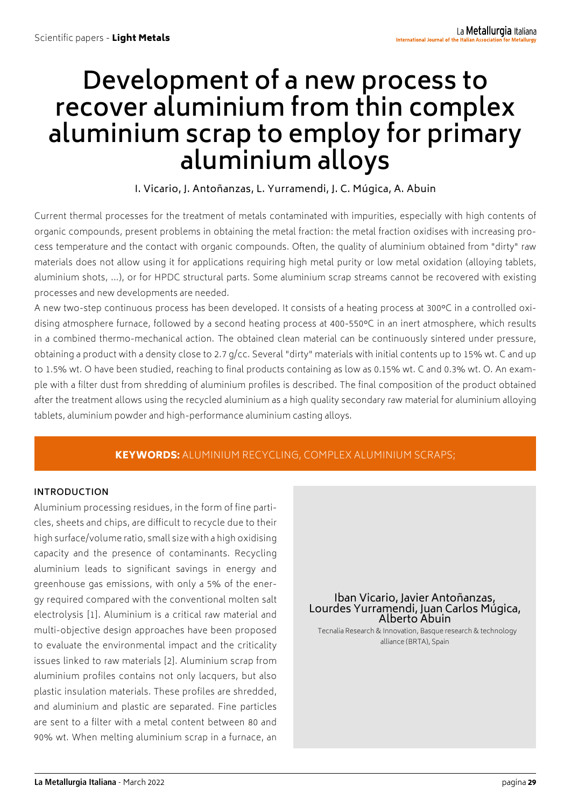# **Development of a new process to recover aluminium from thin complex aluminium scrap to employ for primary aluminium alloys**

I. Vicario, J. Antoñanzas, L. Yurramendi, J. C. Múgica, A. Abuin

Current thermal processes for the treatment of metals contaminated with impurities, especially with high contents of organic compounds, present problems in obtaining the metal fraction: the metal fraction oxidises with increasing process temperature and the contact with organic compounds. Often, the quality of aluminium obtained from "dirty" raw materials does not allow using it for applications requiring high metal purity or low metal oxidation (alloying tablets, aluminium shots, ...), or for HPDC structural parts. Some aluminium scrap streams cannot be recovered with existing processes and new developments are needed.

A new two-step continuous process has been developed. It consists of a heating process at 300°C in a controlled oxidising atmosphere furnace, followed by a second heating process at 400-550°C in an inert atmosphere, which results in a combined thermo-mechanical action. The obtained clean material can be continuously sintered under pressure, obtaining a product with a density close to 2.7 g/cc. Several "dirty" materials with initial contents up to 15% wt. C and up to 1.5% wt. O have been studied, reaching to final products containing as low as 0.15% wt. C and 0.3% wt. O. An example with a filter dust from shredding of aluminium profiles is described. The final composition of the product obtained after the treatment allows using the recycled aluminium as a high quality secondary raw material for aluminium alloying tablets, aluminium powder and high-performance aluminium casting alloys.

## KEYWORDS: ALUMINIUM RECYCLING, COMPLEX ALUMINIUM SCRAPS;

#### **INTRODUCTION**

Aluminium processing residues, in the form of fine particles, sheets and chips, are difficult to recycle due to their high surface/volume ratio, small size with a high oxidising capacity and the presence of contaminants. Recycling aluminium leads to significant savings in energy and greenhouse gas emissions, with only a 5% of the energy required compared with the conventional molten salt electrolysis [1]. Aluminium is a critical raw material and multi-objective design approaches have been proposed to evaluate the environmental impact and the criticality issues linked to raw materials [2]. Aluminium scrap from aluminium profiles contains not only lacquers, but also plastic insulation materials. These profiles are shredded, and aluminium and plastic are separated. Fine particles are sent to a filter with a metal content between 80 and 90% wt. When melting aluminium scrap in a furnace, an

Iban Vicario, Javier Antoñanzas, Lourdes Yurramendi, Juan Carlos Múgica, Alberto Abuin

 Tecnalia Research & Innovation, Basque research & technology alliance (BRTA), Spain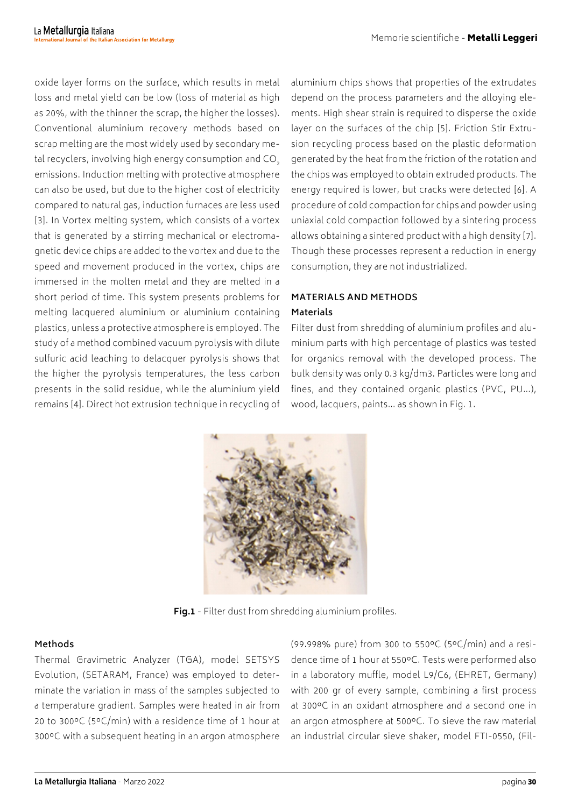oxide layer forms on the surface, which results in metal loss and metal yield can be low (loss of material as high as 20%, with the thinner the scrap, the higher the losses). Conventional aluminium recovery methods based on scrap melting are the most widely used by secondary metal recyclers, involving high energy consumption and CO<sub>2</sub> emissions. Induction melting with protective atmosphere can also be used, but due to the higher cost of electricity compared to natural gas, induction furnaces are less used [3]. In Vortex melting system, which consists of a vortex that is generated by a stirring mechanical or electromagnetic device chips are added to the vortex and due to the speed and movement produced in the vortex, chips are immersed in the molten metal and they are melted in a short period of time. This system presents problems for melting lacquered aluminium or aluminium containing plastics, unless a protective atmosphere is employed. The study of a method combined vacuum pyrolysis with dilute sulfuric acid leaching to delacquer pyrolysis shows that the higher the pyrolysis temperatures, the less carbon presents in the solid residue, while the aluminium yield remains [4]. Direct hot extrusion technique in recycling of

aluminium chips shows that properties of the extrudates depend on the process parameters and the alloying elements. High shear strain is required to disperse the oxide layer on the surfaces of the chip [5]. Friction Stir Extrusion recycling process based on the plastic deformation generated by the heat from the friction of the rotation and the chips was employed to obtain extruded products. The energy required is lower, but cracks were detected [6]. A procedure of cold compaction for chips and powder using uniaxial cold compaction followed by a sintering process allows obtaining a sintered product with a high density [7]. Though these processes represent a reduction in energy consumption, they are not industrialized.

## **MATERIALS AND METHODS Materials**

Filter dust from shredding of aluminium profiles and aluminium parts with high percentage of plastics was tested for organics removal with the developed process. The bulk density was only 0.3 kg/dm3. Particles were long and fines, and they contained organic plastics (PVC, PU…), wood, lacquers, paints… as shown in Fig. 1.



**Fig.1** - Filter dust from shredding aluminium profiles.

## **Methods**

Thermal Gravimetric Analyzer (TGA), model SETSYS Evolution, (SETARAM, France) was employed to determinate the variation in mass of the samples subjected to a temperature gradient. Samples were heated in air from 20 to 300ºC (5ºC/min) with a residence time of 1 hour at 300ºC with a subsequent heating in an argon atmosphere

(99.998% pure) from 300 to 550ºC (5ºC/min) and a residence time of 1 hour at 550ºC. Tests were performed also in a laboratory muffle, model L9/C6, (EHRET, Germany) with 200 gr of every sample, combining a first process at 300ºC in an oxidant atmosphere and a second one in an argon atmosphere at 500ºC. To sieve the raw material an industrial circular sieve shaker, model FTI-0550, (Fil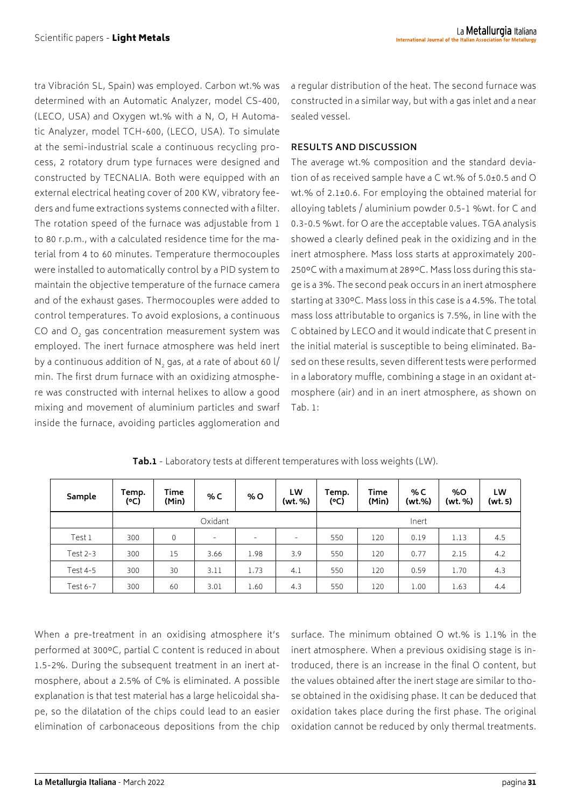tra Vibración SL, Spain) was employed. Carbon wt.% was determined with an Automatic Analyzer, model CS-400, (LECO, USA) and Oxygen wt.% with a N, O, H Automatic Analyzer, model TCH-600, (LECO, USA). To simulate at the semi-industrial scale a continuous recycling process, 2 rotatory drum type furnaces were designed and constructed by TECNALIA. Both were equipped with an external electrical heating cover of 200 KW, vibratory feeders and fume extractions systems connected with a filter. The rotation speed of the furnace was adjustable from 1 to 80 r.p.m., with a calculated residence time for the material from 4 to 60 minutes. Temperature thermocouples were installed to automatically control by a PID system to maintain the objective temperature of the furnace camera and of the exhaust gases. Thermocouples were added to control temperatures. To avoid explosions, a continuous CO and O<sub>2</sub> gas concentration measurement system was employed. The inert furnace atmosphere was held inert by a continuous addition of N<sub>2</sub> gas, at a rate of about 60 l/ min. The first drum furnace with an oxidizing atmosphere was constructed with internal helixes to allow a good mixing and movement of aluminium particles and swarf inside the furnace, avoiding particles agglomeration and

a regular distribution of the heat. The second furnace was constructed in a similar way, but with a gas inlet and a near sealed vessel.

#### **RESULTS AND DISCUSSION**

The average wt.% composition and the standard deviation of as received sample have a C wt.% of 5.0±0.5 and O wt.% of 2.1±0.6. For employing the obtained material for alloying tablets / aluminium powder 0.5-1 %wt. for C and 0.3-0.5 %wt. for O are the acceptable values. TGA analysis showed a clearly defined peak in the oxidizing and in the inert atmosphere. Mass loss starts at approximately 200- 250ºC with a maximum at 289ºC. Mass loss during this stage is a 3%. The second peak occurs in an inert atmosphere starting at 330ºC. Mass loss in this case is a 4.5%. The total mass loss attributable to organics is 7.5%, in line with the C obtained by LECO and it would indicate that C present in the initial material is susceptible to being eliminated. Based on these results, seven different tests were performed in a laboratory muffle, combining a stage in an oxidant atmosphere (air) and in an inert atmosphere, as shown on Tab. 1:

| Sample     | Temp.<br>(C) | Time<br>(Min) | %C   | % O                      | LW<br>(wt. %)            | Temp.<br>(°C) | Time<br>(Min) | % C<br>(wt.%) | %0<br>(wt. %) | LW<br>(wt. 5) |
|------------|--------------|---------------|------|--------------------------|--------------------------|---------------|---------------|---------------|---------------|---------------|
|            | Oxidant      |               |      |                          | Inert                    |               |               |               |               |               |
| Test 1     | 300          | 0             | -    | $\overline{\phantom{a}}$ | $\overline{\phantom{0}}$ | 550           | 120           | 0.19          | 1.13          | 4.5           |
| Test $2-3$ | 300          | 15            | 3.66 | 1.98                     | 3.9                      | 550           | 120           | 0.77          | 2.15          | 4.2           |
| Test 4-5   | 300          | 30            | 3.11 | 1.73                     | 4.1                      | 550           | 120           | 0.59          | 1.70          | 4.3           |
| Test 6-7   | 300          | 60            | 3.01 | 1.60                     | 4,3                      | 550           | 120           | 1.00          | 1.63          | 4.4           |

**Tab.1** - Laboratory tests at different temperatures with loss weights (LW).

When a pre-treatment in an oxidising atmosphere it's performed at 300ºC, partial C content is reduced in about 1.5-2%. During the subsequent treatment in an inert atmosphere, about a 2.5% of C% is eliminated. A possible explanation is that test material has a large helicoidal shape, so the dilatation of the chips could lead to an easier elimination of carbonaceous depositions from the chip

surface. The minimum obtained O wt.% is 1.1% in the inert atmosphere. When a previous oxidising stage is introduced, there is an increase in the final O content, but the values obtained after the inert stage are similar to those obtained in the oxidising phase. It can be deduced that oxidation takes place during the first phase. The original oxidation cannot be reduced by only thermal treatments.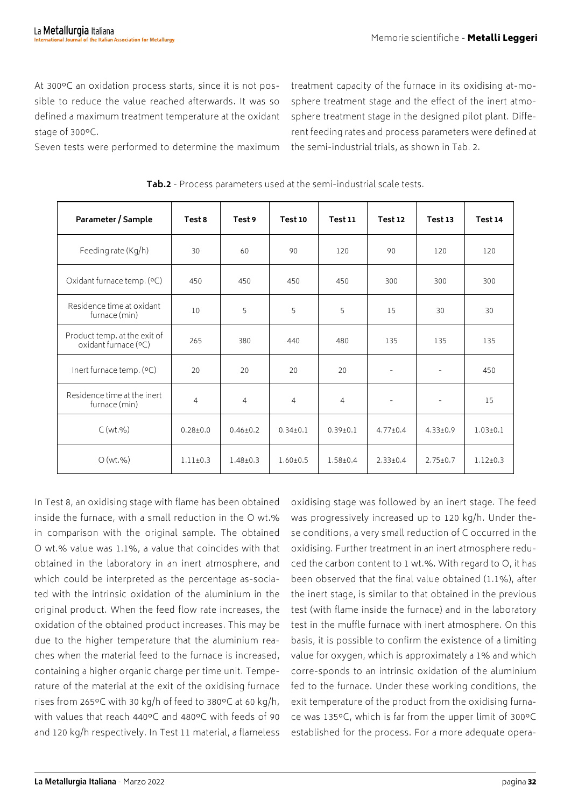At 300ºC an oxidation process starts, since it is not possible to reduce the value reached afterwards. It was so defined a maximum treatment temperature at the oxidant stage of 300ºC.

treatment capacity of the furnace in its oxidising at-mosphere treatment stage and the effect of the inert atmosphere treatment stage in the designed pilot plant. Different feeding rates and process parameters were defined at the semi-industrial trials, as shown in Tab. 2.

Seven tests were performed to determine the maximum

| Parameter / Sample                                   | Test 8         | Test 9         | Test 10        | <b>Test 11</b> | Test 12                  | Test 13           | Test 14        |
|------------------------------------------------------|----------------|----------------|----------------|----------------|--------------------------|-------------------|----------------|
| Feeding rate (Kg/h)                                  | 30             | 60             | 90             | 120            | 90                       | 120               | 120            |
| Oxidant furnace temp. (°C)                           | 450            | 450            | 450            | 450            | 300                      | 300               | 300            |
| Residence time at oxidant<br>furnace (min)           | 10             | 5              | 5              | 5              | 15                       | 30                | 30             |
| Product temp. at the exit of<br>oxidant furnace (°C) | 265            | 380            | 440            | 480            | 135                      | 135               | 135            |
| Inert furnace temp. (°C)                             | 20             | 20             | 20             | 20             | $\overline{\phantom{a}}$ | $\qquad \qquad -$ | 450            |
| Residence time at the inert<br>furnace (min)         | $\overline{4}$ | $\overline{4}$ | 4              | $\overline{4}$ | $\overline{\phantom{a}}$ | $\qquad \qquad -$ | 15             |
| C(wt.%)                                              | $0.28 + 0.0$   | $0.46 \pm 0.2$ | $0.34 \pm 0.1$ | $0.39 \pm 0.1$ | $4.77 \pm 0.4$           | $4.33 \pm 0.9$    | $1.03 \pm 0.1$ |
| O(wt.%)                                              | $1.11 \pm 0.3$ | $1.48 \pm 0.3$ | $1.60 \pm 0.5$ | $1.58 + 0.4$   | $2.33 \pm 0.4$           | $2.75 \pm 0.7$    | $1.12 \pm 0.3$ |

**Tab.2** - Process parameters used at the semi-industrial scale tests.

In Test 8, an oxidising stage with flame has been obtained inside the furnace, with a small reduction in the O wt.% in comparison with the original sample. The obtained O wt.% value was 1.1%, a value that coincides with that obtained in the laboratory in an inert atmosphere, and which could be interpreted as the percentage as-sociated with the intrinsic oxidation of the aluminium in the original product. When the feed flow rate increases, the oxidation of the obtained product increases. This may be due to the higher temperature that the aluminium reaches when the material feed to the furnace is increased, containing a higher organic charge per time unit. Temperature of the material at the exit of the oxidising furnace rises from 265ºC with 30 kg/h of feed to 380ºC at 60 kg/h, with values that reach 440ºC and 480ºC with feeds of 90 and 120 kg/h respectively. In Test 11 material, a flameless

oxidising stage was followed by an inert stage. The feed was progressively increased up to 120 kg/h. Under these conditions, a very small reduction of C occurred in the oxidising. Further treatment in an inert atmosphere reduced the carbon content to 1 wt.%. With regard to O, it has been observed that the final value obtained (1.1%), after the inert stage, is similar to that obtained in the previous test (with flame inside the furnace) and in the laboratory test in the muffle furnace with inert atmosphere. On this basis, it is possible to confirm the existence of a limiting value for oxygen, which is approximately a 1% and which corre-sponds to an intrinsic oxidation of the aluminium fed to the furnace. Under these working conditions, the exit temperature of the product from the oxidising furnace was 135ºC, which is far from the upper limit of 300ºC established for the process. For a more adequate opera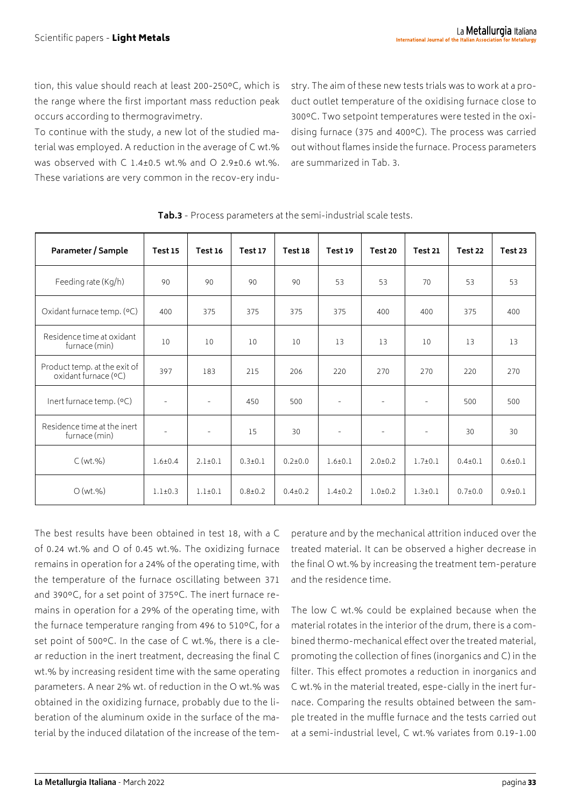tion, this value should reach at least 200-250ºC, which is the range where the first important mass reduction peak occurs according to thermogravimetry.

To continue with the study, a new lot of the studied material was employed. A reduction in the average of C wt.% was observed with C 1.4±0.5 wt.% and O 2.9±0.6 wt.%. These variations are very common in the recov-ery industry. The aim of these new tests trials was to work at a product outlet temperature of the oxidising furnace close to 300ºC. Two setpoint temperatures were tested in the oxidising furnace (375 and 400ºC). The process was carried out without flames inside the furnace. Process parameters are summarized in Tab. 3.

| Parameter / Sample                                   | <b>Test 15</b>           | <b>Test 16</b>           | Test 17     | Test 18       | Test 19                  | Test 20                  | Test 21                  | Test 22       | Test 23     |
|------------------------------------------------------|--------------------------|--------------------------|-------------|---------------|--------------------------|--------------------------|--------------------------|---------------|-------------|
| Feeding rate (Kg/h)                                  | 90                       | 90                       | 90          | 90            | 53                       | 53                       | 70                       | 53            | 53          |
| Oxidant furnace temp. (°C)                           | 400                      | 375                      | 375         | 375           | 375                      | 400                      | 400                      | 375           | 400         |
| Residence time at oxidant<br>furnace (min)           | 10                       | 10                       | 10          | 10            | 13                       | 13                       | 10                       | 13            | 13          |
| Product temp. at the exit of<br>oxidant furnace (°C) | 397                      | 183                      | 215         | 206           | 220                      | 270                      | 270                      | 220           | 270         |
| Inert furnace temp. (°C)                             | $\overline{\phantom{a}}$ | $\sim$                   | 450         | 500           | $\overline{\phantom{a}}$ | $\overline{\phantom{a}}$ | $\overline{\phantom{m}}$ | 500           | 500         |
| Residence time at the inert<br>furnace (min)         | $\overline{\phantom{a}}$ | $\overline{\phantom{a}}$ | 15          | 30            | $\overline{\phantom{a}}$ | $\overline{\phantom{a}}$ | $\overline{\phantom{a}}$ | 30            | 30          |
| C(wt.%)                                              | $1.6 + 0.4$              | $2.1 \pm 0.1$            | $0.3 + 0.1$ | $0.2 \pm 0.0$ | $1.6 + 0.1$              | $2.0 \pm 0.2$            | $1.7 + 0.1$              | $0.4{\pm}0.1$ | $0.6 + 0.1$ |
| O(wt.%)                                              | $1.1 \pm 0.3$            | $1.1 \pm 0.1$            | $0.8 + 0.2$ | $0.4 \pm 0.2$ | $1.4 \pm 0.2$            | $1.0 + 0.2$              | $1.3 + 0.1$              | $0.7 + 0.0$   | $0.9 + 0.1$ |

**Tab.3** - Process parameters at the semi-industrial scale tests.

The best results have been obtained in test 18, with a C of 0.24 wt.% and O of 0.45 wt.%. The oxidizing furnace remains in operation for a 24% of the operating time, with the temperature of the furnace oscillating between 371 and 390ºC, for a set point of 375ºC. The inert furnace remains in operation for a 29% of the operating time, with the furnace temperature ranging from 496 to 510ºC, for a set point of 500ºC. In the case of C wt.%, there is a clear reduction in the inert treatment, decreasing the final C wt.% by increasing resident time with the same operating parameters. A near 2% wt. of reduction in the O wt.% was obtained in the oxidizing furnace, probably due to the liberation of the aluminum oxide in the surface of the material by the induced dilatation of the increase of the tem-

perature and by the mechanical attrition induced over the treated material. It can be observed a higher decrease in the final O wt.% by increasing the treatment tem-perature and the residence time.

The low C wt.% could be explained because when the material rotates in the interior of the drum, there is a combined thermo-mechanical effect over the treated material, promoting the collection of fines (inorganics and C) in the filter. This effect promotes a reduction in inorganics and C wt.% in the material treated, espe-cially in the inert furnace. Comparing the results obtained between the sample treated in the muffle furnace and the tests carried out at a semi-industrial level, C wt.% variates from 0.19-1.00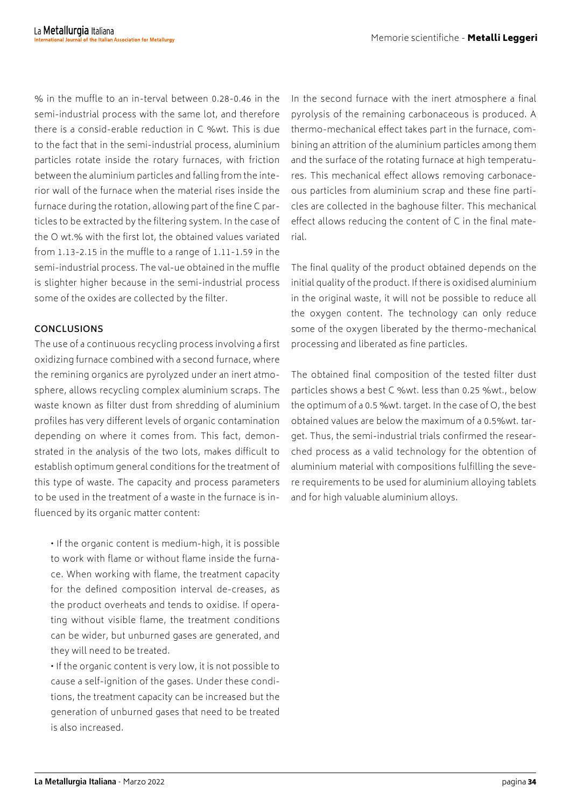% in the muffle to an in-terval between 0.28-0.46 in the semi-industrial process with the same lot, and therefore there is a consid-erable reduction in C %wt. This is due to the fact that in the semi-industrial process, aluminium particles rotate inside the rotary furnaces, with friction between the aluminium particles and falling from the interior wall of the furnace when the material rises inside the furnace during the rotation, allowing part of the fine C particles to be extracted by the filtering system. In the case of the O wt.% with the first lot, the obtained values variated from 1.13-2.15 in the muffle to a range of 1.11-1.59 in the semi-industrial process. The val-ue obtained in the muffle is slighter higher because in the semi-industrial process some of the oxides are collected by the filter.

### **CONCLUSIONS**

The use of a continuous recycling process involving a first oxidizing furnace combined with a second furnace, where the remining organics are pyrolyzed under an inert atmosphere, allows recycling complex aluminium scraps. The waste known as filter dust from shredding of aluminium profiles has very different levels of organic contamination depending on where it comes from. This fact, demonstrated in the analysis of the two lots, makes difficult to establish optimum general conditions for the treatment of this type of waste. The capacity and process parameters to be used in the treatment of a waste in the furnace is influenced by its organic matter content:

• If the organic content is medium-high, it is possible to work with flame or without flame inside the furnace. When working with flame, the treatment capacity for the defined composition interval de-creases, as the product overheats and tends to oxidise. If operating without visible flame, the treatment conditions can be wider, but unburned gases are generated, and they will need to be treated.

• If the organic content is very low, it is not possible to cause a self-ignition of the gases. Under these conditions, the treatment capacity can be increased but the generation of unburned gases that need to be treated is also increased.

In the second furnace with the inert atmosphere a final pyrolysis of the remaining carbonaceous is produced. A thermo-mechanical effect takes part in the furnace, combining an attrition of the aluminium particles among them and the surface of the rotating furnace at high temperatures. This mechanical effect allows removing carbonaceous particles from aluminium scrap and these fine particles are collected in the baghouse filter. This mechanical effect allows reducing the content of C in the final material.

The final quality of the product obtained depends on the initial quality of the product. If there is oxidised aluminium in the original waste, it will not be possible to reduce all the oxygen content. The technology can only reduce some of the oxygen liberated by the thermo-mechanical processing and liberated as fine particles.

The obtained final composition of the tested filter dust particles shows a best C %wt. less than 0.25 %wt., below the optimum of a 0.5 %wt. target. In the case of O, the best obtained values are below the maximum of a 0.5%wt. target. Thus, the semi-industrial trials confirmed the researched process as a valid technology for the obtention of aluminium material with compositions fulfilling the severe requirements to be used for aluminium alloying tablets and for high valuable aluminium alloys.